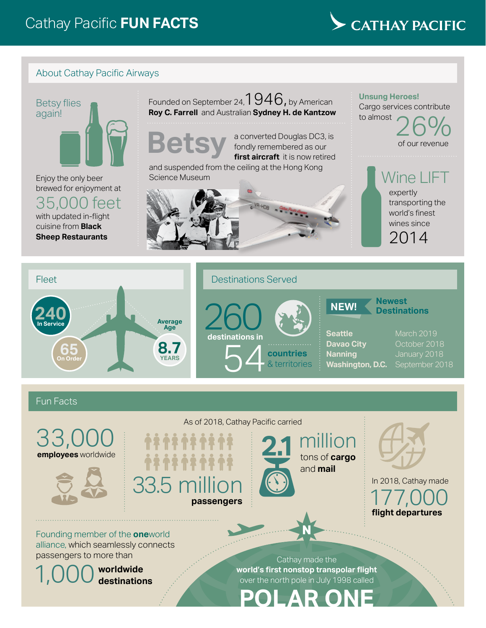# CATHAY PACIFIC

#### About Cathay Pacific Airways



Enjoy the only beer brewed for enjoyment at

35,000 feet with updated in-flight cuisine from **Black Sheep Restaurants**

### Founded on September 24,  $1946$ , by American **Roy C. Farrell** and Australian **Sydney H. de Kantzow**

**Betsy**

a converted Douglas DC3, is fondly remembered as our **first aircraft** it is now retired

and suspended from the ceiling at the Hong Kong Science Museum



again!<br>
a converted Douglas DC3, is of our revenue Cargo services contribute to almost of our revenue

**Unsung Heroes!**

Wine LIFT expertly transporting the world's finest wines since

2014



## Destinations Served



**Seattle** March 2019 **Davao City Carl Conting Conting 10.18**<br> **Nanning Conting Conting 10.18 Washington, D.C.** 

**NEW!**

#### Fun Facts





As of 2018, Cathay Pacific carried

33.5 r **passengers**

**2.1** million tons of **cargo** and **mail**

**Newest Destinations**

177,000 **flight departures** In 2018, Cathay made

Founding member of the **one**world alliance, which seamlessly connects passengers to more than Cathay made the

1,000 **worldwide destinations** **world's first nonstop transpolar flight** over the north pole in July 1998 called

**POLAR ONE**